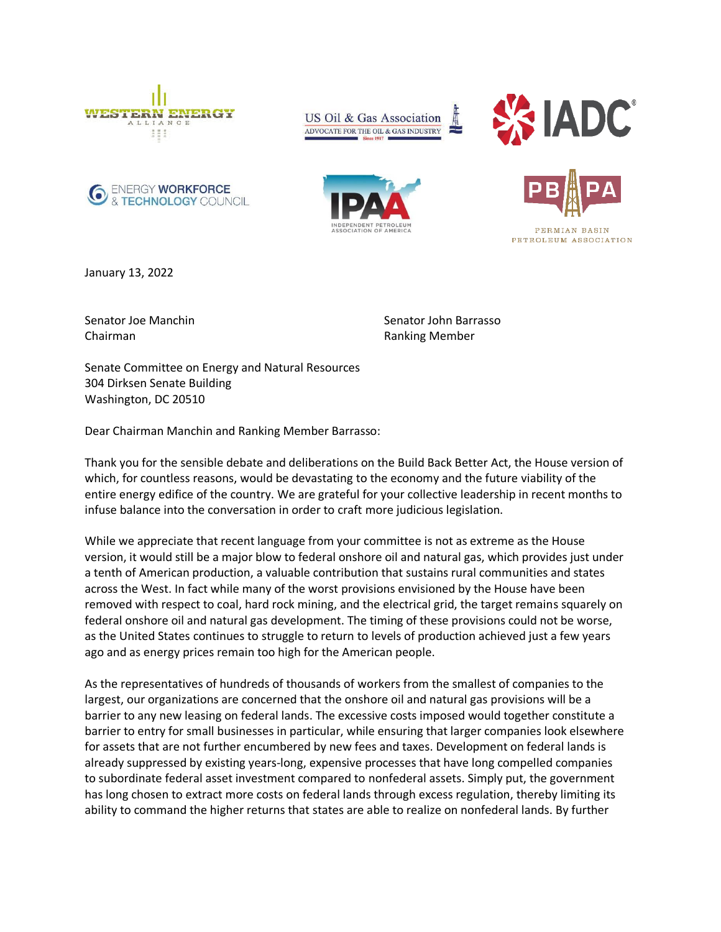

**ENERGY WORKFORCE** & TECHNOLOGY COUNCIL





PETROLEUM ASSOCIATION

January 13, 2022

Senator Joe Manchin Chairman

Senator John Barrasso Ranking Member

Senate Committee on Energy and Natural Resources 304 Dirksen Senate Building Washington, DC 20510

Dear Chairman Manchin and Ranking Member Barrasso:

Thank you for the sensible debate and deliberations on the Build Back Better Act, the House version of which, for countless reasons, would be devastating to the economy and the future viability of the entire energy edifice of the country. We are grateful for your collective leadership in recent months to infuse balance into the conversation in order to craft more judicious legislation.

While we appreciate that recent language from your committee is not as extreme as the House version, it would still be a major blow to federal onshore oil and natural gas, which provides just under a tenth of American production, a valuable contribution that sustains rural communities and states across the West. In fact while many of the worst provisions envisioned by the House have been removed with respect to coal, hard rock mining, and the electrical grid, the target remains squarely on federal onshore oil and natural gas development. The timing of these provisions could not be worse, as the United States continues to struggle to return to levels of production achieved just a few years ago and as energy prices remain too high for the American people.

As the representatives of hundreds of thousands of workers from the smallest of companies to the largest, our organizations are concerned that the onshore oil and natural gas provisions will be a barrier to any new leasing on federal lands. The excessive costs imposed would together constitute a barrier to entry for small businesses in particular, while ensuring that larger companies look elsewhere for assets that are not further encumbered by new fees and taxes. Development on federal lands is already suppressed by existing years-long, expensive processes that have long compelled companies to subordinate federal asset investment compared to nonfederal assets. Simply put, the government has long chosen to extract more costs on federal lands through excess regulation, thereby limiting its ability to command the higher returns that states are able to realize on nonfederal lands. By further